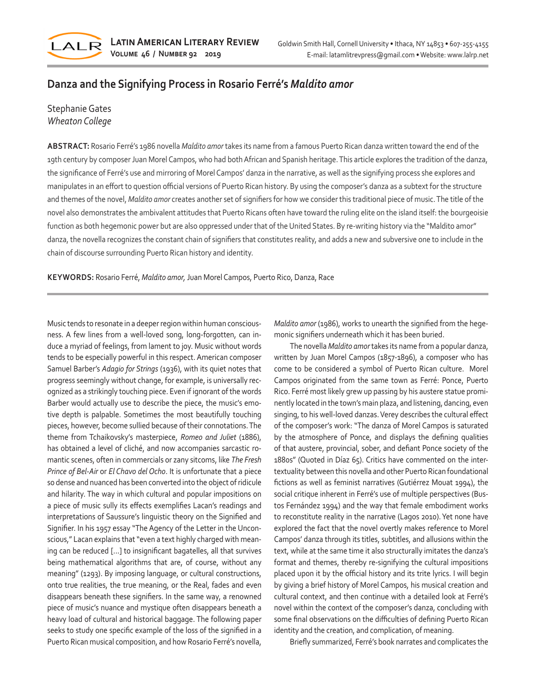

## **Danza and the Signifying Process in Rosario Ferré's** *Maldito amor*

## Stephanie Gates *Wheaton College*

**ABSTRACT:** Rosario Ferré's 1986 novella *Maldito amor* takes its name from a famous Puerto Rican danza written toward the end of the 19th century by composer Juan Morel Campos, who had both African and Spanish heritage. This article explores the tradition of the danza, the significance of Ferré's use and mirroring of Morel Campos' danza in the narrative, as well as the signifying process she explores and manipulates in an effort to question official versions of Puerto Rican history. By using the composer's danza as a subtext for the structure and themes of the novel, *Maldito amor* creates another set of signifiers for how we consider this traditional piece of music. The title of the novel also demonstrates the ambivalent attitudes that Puerto Ricans often have toward the ruling elite on the island itself: the bourgeoisie function as both hegemonic power but are also oppressed under that of the United States. By re-writing history via the "Maldito amor" danza, the novella recognizes the constant chain of signifiers that constitutes reality, and adds a new and subversive one to include in the chain of discourse surrounding Puerto Rican history and identity.

**KEYWORDS:** Rosario Ferré, *Maldito amor,* Juan Morel Campos, Puerto Rico, Danza, Race

Music tends to resonate in a deeper region within human consciousness. A few lines from a well-loved song, long-forgotten, can induce a myriad of feelings, from lament to joy. Music without words tends to be especially powerful in this respect. American composer Samuel Barber's *Adagio for Strings* (1936), with its quiet notes that progress seemingly without change, for example, is universally recognized as a strikingly touching piece. Even if ignorant of the words Barber would actually use to describe the piece, the music's emotive depth is palpable. Sometimes the most beautifully touching pieces, however, become sullied because of their connotations. The theme from Tchaikovsky's masterpiece, *Romeo and Juliet* (1886), has obtained a level of cliché, and now accompanies sarcastic romantic scenes, often in commercials or zany sitcoms, like *The Fresh Prince of Bel-Air* or *El Chavo del Ocho*. It is unfortunate that a piece so dense and nuanced has been converted into the object of ridicule and hilarity. The way in which cultural and popular impositions on a piece of music sully its effects exemplifies Lacan's readings and interpretations of Saussure's linguistic theory on the Signified and Signifier. In his 1957 essay "The Agency of the Letter in the Unconscious," Lacan explains that "even a text highly charged with meaning can be reduced […] to insignificant bagatelles, all that survives being mathematical algorithms that are, of course, without any meaning" (1293). By imposing language, or cultural constructions, onto true realities, the true meaning, or the Real, fades and even disappears beneath these signifiers. In the same way, a renowned piece of music's nuance and mystique often disappears beneath a heavy load of cultural and historical baggage. The following paper seeks to study one specific example of the loss of the signified in a Puerto Rican musical composition, and how Rosario Ferré's novella,

*Maldito amor* (1986), works to unearth the signified from the hegemonic signifiers underneath which it has been buried.

The novella *Maldito amor* takes its name from a popular danza, written by Juan Morel Campos (1857-1896), a composer who has come to be considered a symbol of Puerto Rican culture. Morel Campos originated from the same town as Ferré: Ponce, Puerto Rico. Ferré most likely grew up passing by his austere statue prominently located in the town's main plaza, and listening, dancing, even singing, to his well-loved danzas. Verey describes the cultural effect of the composer's work: "The danza of Morel Campos is saturated by the atmosphere of Ponce, and displays the defining qualities of that austere, provincial, sober, and defiant Ponce society of the 1880s" (Quoted in Díaz 65). Critics have commented on the intertextuality between this novella and other Puerto Rican foundational fictions as well as feminist narratives (Gutiérrez Mouat 1994), the social critique inherent in Ferré's use of multiple perspectives (Bustos Fernández 1994) and the way that female embodiment works to reconstitute reality in the narrative (Lagos 2010). Yet none have explored the fact that the novel overtly makes reference to Morel Campos' danza through its titles, subtitles, and allusions within the text, while at the same time it also structurally imitates the danza's format and themes, thereby re-signifying the cultural impositions placed upon it by the official history and its trite lyrics. I will begin by giving a brief history of Morel Campos, his musical creation and cultural context, and then continue with a detailed look at Ferré's novel within the context of the composer's danza, concluding with some final observations on the difficulties of defining Puerto Rican identity and the creation, and complication, of meaning.

Briefly summarized, Ferré's book narrates and complicates the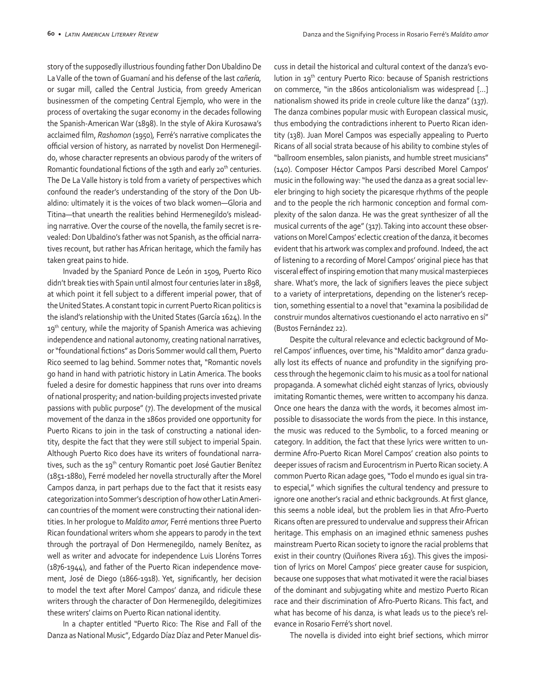story of the supposedly illustrious founding father Don Ubaldino De La Valle of the town of Guamaní and his defense of the last *cañería,*  or sugar mill, called the Central Justicia, from greedy American businessmen of the competing Central Ejemplo, who were in the process of overtaking the sugar economy in the decades following the Spanish-American War (1898). In the style of Akira Kurosawa's acclaimed film, *Rashomon* (1950)*,* Ferré's narrative complicates the official version of history, as narrated by novelist Don Hermenegildo, whose character represents an obvious parody of the writers of Romantic foundational fictions of the 19th and early 20<sup>th</sup> centuries. The De La Valle history is told from a variety of perspectives which confound the reader's understanding of the story of the Don Ubaldino: ultimately it is the voices of two black women—Gloria and Titina—that unearth the realities behind Hermenegildo's misleading narrative. Over the course of the novella, the family secret is revealed: Don Ubaldino's father was not Spanish, as the official narratives recount, but rather has African heritage, which the family has taken great pains to hide.

Invaded by the Spaniard Ponce de León in 1509, Puerto Rico didn't break ties with Spain until almost four centuries later in 1898, at which point it fell subject to a different imperial power, that of the United States. A constant topic in current Puerto Rican politics is the island's relationship with the United States (García 1624). In the 19<sup>th</sup> century, while the majority of Spanish America was achieving independence and national autonomy, creating national narratives, or "foundational fictions" as Doris Sommer would call them, Puerto Rico seemed to lag behind. Sommer notes that, "Romantic novels go hand in hand with patriotic history in Latin America. The books fueled a desire for domestic happiness that runs over into dreams of national prosperity; and nation-building projects invested private passions with public purpose" (7). The development of the musical movement of the danza in the 1860s provided one opportunity for Puerto Ricans to join in the task of constructing a national identity, despite the fact that they were still subject to imperial Spain. Although Puerto Rico does have its writers of foundational narratives, such as the 19<sup>th</sup> century Romantic poet José Gautier Benítez (1851-1880), Ferré modeled her novella structurally after the Morel Campos danza, in part perhaps due to the fact that it resists easy categorization into Sommer's description of how other Latin American countries of the moment were constructing their national identities. In her prologue to *Maldito amor,* Ferré mentions three Puerto Rican foundational writers whom she appears to parody in the text through the portrayal of Don Hermenegildo, namely Benítez, as well as writer and advocate for independence Luis Lloréns Torres (1876-1944), and father of the Puerto Rican independence movement, José de Diego (1866-1918). Yet, significantly, her decision to model the text after Morel Campos' danza, and ridicule these writers through the character of Don Hermenegildo, delegitimizes these writers' claims on Puerto Rican national identity.

In a chapter entitled "Puerto Rico: The Rise and Fall of the Danza as National Music", Edgardo Díaz Díaz and Peter Manuel discuss in detail the historical and cultural context of the danza's evolution in 19th century Puerto Rico: because of Spanish restrictions on commerce, "in the 1860s anticolonialism was widespread […] nationalism showed its pride in creole culture like the danza" (137). The danza combines popular music with European classical music, thus embodying the contradictions inherent to Puerto Rican identity (138). Juan Morel Campos was especially appealing to Puerto Ricans of all social strata because of his ability to combine styles of "ballroom ensembles, salon pianists, and humble street musicians" (140). Composer Héctor Campos Parsi described Morel Campos' music in the following way: "he used the danza as a great social leveler bringing to high society the picaresque rhythms of the people and to the people the rich harmonic conception and formal complexity of the salon danza. He was the great synthesizer of all the musical currents of the age" (317). Taking into account these observations on Morel Campos' eclectic creation of the danza, it becomes evident that his artwork was complex and profound. Indeed, the act of listening to a recording of Morel Campos' original piece has that visceral effect of inspiring emotion that many musical masterpieces share. What's more, the lack of signifiers leaves the piece subject to a variety of interpretations, depending on the listener's reception, something essential to a novel that "examina la posibilidad de construir mundos alternativos cuestionando el acto narrativo en sí" (Bustos Fernández 22).

Despite the cultural relevance and eclectic background of Morel Campos' influences, over time, his "Maldito amor" danza gradually lost its effects of nuance and profundity in the signifying process through the hegemonic claim to his music as a tool for national propaganda. A somewhat clichéd eight stanzas of lyrics, obviously imitating Romantic themes, were written to accompany his danza. Once one hears the danza with the words, it becomes almost impossible to disassociate the words from the piece. In this instance, the music was reduced to the Symbolic, to a forced meaning or category. In addition, the fact that these lyrics were written to undermine Afro-Puerto Rican Morel Campos' creation also points to deeper issues of racism and Eurocentrism in Puerto Rican society. A common Puerto Rican adage goes, "Todo el mundo es igual sin trato especial," which signifies the cultural tendency and pressure to ignore one another's racial and ethnic backgrounds. At first glance, this seems a noble ideal, but the problem lies in that Afro-Puerto Ricans often are pressured to undervalue and suppress their African heritage. This emphasis on an imagined ethnic sameness pushes mainstream Puerto Rican society to ignore the racial problems that exist in their country (Quiñones Rivera 163). This gives the imposition of lyrics on Morel Campos' piece greater cause for suspicion, because one supposes that what motivated it were the racial biases of the dominant and subjugating white and mestizo Puerto Rican race and their discrimination of Afro-Puerto Ricans. This fact, and what has become of his danza, is what leads us to the piece's relevance in Rosario Ferré's short novel.

The novella is divided into eight brief sections, which mirror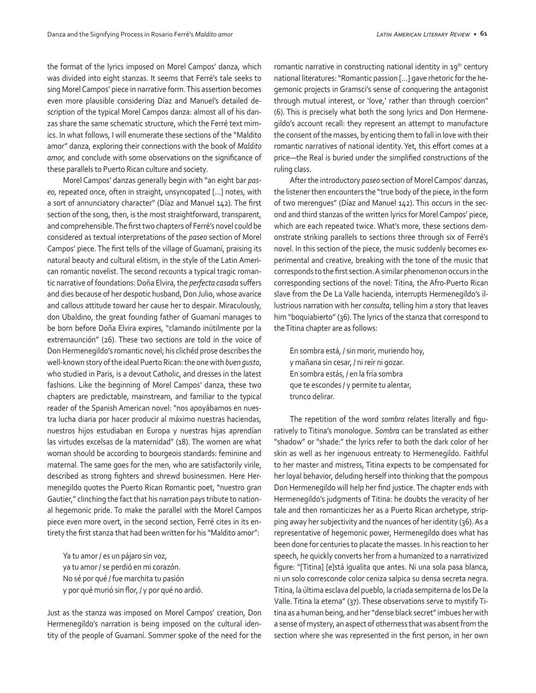the format of the lyrics imposed on Morel Campos' danza, which was divided into eight stanzas. It seems that Ferré's tale seeks to sing Morel Campos' piece in narrative form. This assertion becomes even more plausible considering Díaz and Manuel's detailed description of the typical Morel Campos danza: almost all of his danzas share the same schematic structure, which the Ferré text mimics. In what follows, I will enumerate these sections of the "Maldito amor" danza, exploring their connections with the book of *Maldito amor,* and conclude with some observations on the significance of these parallels to Puerto Rican culture and society.

Morel Campos' danzas generally begin with "an eight bar *paseo,* repeated once, often in straight, unsyncopated […] notes, with a sort of annunciatory character" (Díaz and Manuel 142). The first section of the song, then, is the most straightforward, transparent, and comprehensible. The first two chapters of Ferré's novel could be considered as textual interpretations of the *paseo* section of Morel Campos' piece. The first tells of the village of Guamaní, praising its natural beauty and cultural elitism, in the style of the Latin American romantic novelist. The second recounts a typical tragic romantic narrative of foundations: Doña Elvira, the *perfecta casada* suffers and dies because of her despotic husband, Don Julio, whose avarice and callous attitude toward her cause her to despair. Miraculously, don Ubaldino, the great founding father of Guamaní manages to be born before Doña Elvira expires, "clamando inútilmente por la extremaunción" (26). These two sections are told in the voice of Don Hermenegildo's romantic novel; his clichéd prose describes the well-known story of the ideal Puerto Rican: the one with *buen gusto*, who studied in Paris, is a devout Catholic, and dresses in the latest fashions. Like the beginning of Morel Campos' danza, these two chapters are predictable, mainstream, and familiar to the typical reader of the Spanish American novel: "nos apoyábamos en nuestra lucha diaria por hacer producir al máximo nuestras haciendas, nuestros hijos estudiaban en Europa y nuestras hijas aprendían las virtudes excelsas de la maternidad" (18). The women are what woman should be according to bourgeois standards: feminine and maternal. The same goes for the men, who are satisfactorily virile, described as strong fighters and shrewd businessmen. Here Hermenegildo quotes the Puerto Rican Romantic poet, "nuestro gran Gautier," clinching the fact that his narration pays tribute to national hegemonic pride. To make the parallel with the Morel Campos piece even more overt, in the second section, Ferré cites in its entirety the first stanza that had been written for his "Maldito amor":

Ya tu amor / es un pájaro sin voz, ya tu amor / se perdió en mi corazón. No sé por qué / fue marchita tu pasión y por qué murió sin flor, / y por qué no ardió.

Just as the stanza was imposed on Morel Campos' creation, Don Hermenegildo's narration is being imposed on the cultural identity of the people of Guamaní. Sommer spoke of the need for the

romantic narrative in constructing national identity in 19<sup>th</sup> century national literatures: "Romantic passion […] gave rhetoric for the hegemonic projects in Gramsci's sense of conquering the antagonist through mutual interest, or 'love,' rather than through coercion" (6). This is precisely what both the song lyrics and Don Hermenegildo's account recall: they represent an attempt to manufacture the consent of the masses, by enticing them to fall in love with their romantic narratives of national identity. Yet, this effort comes at a price—the Real is buried under the simplified constructions of the ruling class.

After the introductory *paseo* section of Morel Campos' danzas, the listener then encounters the "true body of the piece, in the form of two merengues" (Díaz and Manuel 142). This occurs in the second and third stanzas of the written lyrics for Morel Campos' piece, which are each repeated twice. What's more, these sections demonstrate striking parallels to sections three through six of Ferré's novel. In this section of the piece, the music suddenly becomes experimental and creative, breaking with the tone of the music that corresponds to the first section. A similar phenomenon occurs in the corresponding sections of the novel: Titina, the Afro-Puerto Rican slave from the De La Valle hacienda, interrupts Hermenegildo's illustrious narration with her *consulta*, telling him a story that leaves him "boquiabierto" (36). The lyrics of the stanza that correspond to the Titina chapter are as follows:

En sombra está, / sin morir, muriendo hoy, y mañana sin cesar, / ni reír ni gozar. En sombra estás, / en la fría sombra que te escondes / y permite tu alentar, trunco delirar.

The repetition of the word *sombra* relates literally and figuratively to Titina's monologue. *Sombra* can be translated as either "shadow" or "shade:" the lyrics refer to both the dark color of her skin as well as her ingenuous entreaty to Hermenegildo. Faithful to her master and mistress, Titina expects to be compensated for her loyal behavior, deluding herself into thinking that the pompous Don Hermenegildo will help her find justice. The chapter ends with Hermenegildo's judgments of Titina: he doubts the veracity of her tale and then romanticizes her as a Puerto Rican archetype, stripping away her subjectivity and the nuances of her identity (36). As a representative of hegemonic power, Hermenegildo does what has been done for centuries to placate the masses. In his reaction to her speech, he quickly converts her from a humanized to a narrativized figure: "[Titina] [e]stá igualita que antes. Ni una sola pasa blanca, ni un solo corresconde color ceniza salpica su densa secreta negra. Titina, la última esclava del pueblo, la criada sempiterna de los De la Valle. Titina la eterna" (37). These observations serve to mystify Titina as a human being, and her "dense black secret" imbues her with a sense of mystery, an aspect of otherness that was absent from the section where she was represented in the first person, in her own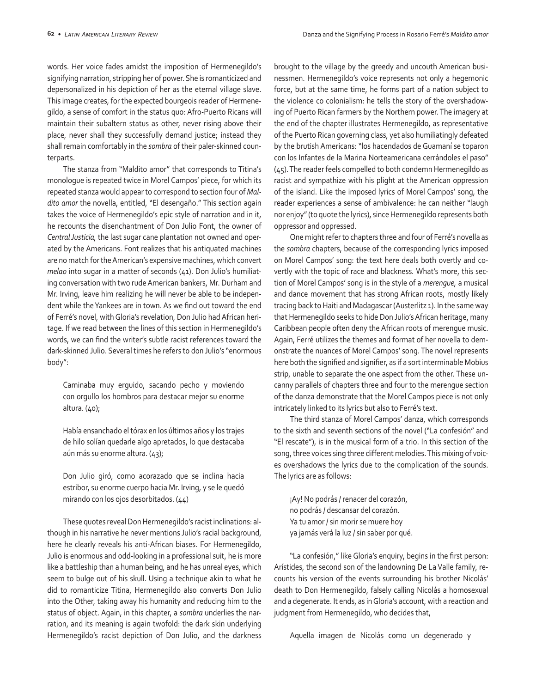words. Her voice fades amidst the imposition of Hermenegildo's signifying narration, stripping her of power. She is romanticized and depersonalized in his depiction of her as the eternal village slave. This image creates, for the expected bourgeois reader of Hermenegildo, a sense of comfort in the status quo: Afro-Puerto Ricans will maintain their subaltern status as other, never rising above their place, never shall they successfully demand justice; instead they shall remain comfortably in the *sombra* of their paler-skinned counterparts.

The stanza from "Maldito amor" that corresponds to Titina's monologue is repeated twice in Morel Campos' piece, for which its repeated stanza would appear to correspond to section four of *Maldito amor* the novella, entitled, "El desengaño." This section again takes the voice of Hermenegildo's epic style of narration and in it, he recounts the disenchantment of Don Julio Font, the owner of *Central Justicia,* the last sugar cane plantation not owned and operated by the Americans. Font realizes that his antiquated machines are no match for the American's expensive machines, which convert *melao* into sugar in a matter of seconds (41). Don Julio's humiliating conversation with two rude American bankers, Mr. Durham and Mr. Irving, leave him realizing he will never be able to be independent while the Yankees are in town. As we find out toward the end of Ferré's novel, with Gloria's revelation, Don Julio had African heritage. If we read between the lines of this section in Hermenegildo's words, we can find the writer's subtle racist references toward the dark-skinned Julio. Several times he refers to don Julio's "enormous body":

Caminaba muy erguido, sacando pecho y moviendo con orgullo los hombros para destacar mejor su enorme altura. (40);

Había ensanchado el tórax en los últimos años y los trajes de hilo solían quedarle algo apretados, lo que destacaba aún más su enorme altura. (43);

Don Julio giró, como acorazado que se inclina hacia estribor, su enorme cuerpo hacia Mr. Irving, y se le quedó mirando con los ojos desorbitados. (44)

These quotes reveal Don Hermenegildo's racist inclinations: although in his narrative he never mentions Julio's racial background, here he clearly reveals his anti-African biases. For Hermenegildo, Julio is enormous and odd-looking in a professional suit, he is more like a battleship than a human being, and he has unreal eyes, which seem to bulge out of his skull. Using a technique akin to what he did to romanticize Titina, Hermenegildo also converts Don Julio into the Other, taking away his humanity and reducing him to the status of object. Again, in this chapter, a *sombra* underlies the narration, and its meaning is again twofold: the dark skin underlying Hermenegildo's racist depiction of Don Julio, and the darkness brought to the village by the greedy and uncouth American businessmen. Hermenegildo's voice represents not only a hegemonic force, but at the same time, he forms part of a nation subject to the violence co colonialism: he tells the story of the overshadowing of Puerto Rican farmers by the Northern power. The imagery at the end of the chapter illustrates Hermenegildo, as representative of the Puerto Rican governing class, yet also humiliatingly defeated by the brutish Americans: "los hacendados de Guamaní se toparon con los Infantes de la Marina Norteamericana cerrándoles el paso" (45). The reader feels compelled to both condemn Hermenegildo as racist and sympathize with his plight at the American oppression of the island. Like the imposed lyrics of Morel Campos' song, the reader experiences a sense of ambivalence: he can neither "laugh nor enjoy" (to quote the lyrics), since Hermenegildo represents both oppressor and oppressed.

One might refer to chapters three and four of Ferré's novella as the *sombra* chapters, because of the corresponding lyrics imposed on Morel Campos' song: the text here deals both overtly and covertly with the topic of race and blackness*.* What's more, this section of Morel Campos' song is in the style of a *merengue,* a musical and dance movement that has strong African roots, mostly likely tracing back to Haiti and Madagascar (Austerlitz 1). In the same way that Hermenegildo seeks to hide Don Julio's African heritage, many Caribbean people often deny the African roots of merengue music. Again, Ferré utilizes the themes and format of her novella to demonstrate the nuances of Morel Campos' song. The novel represents here both the signified and signifier, as if a sort interminable Mobius strip, unable to separate the one aspect from the other. These uncanny parallels of chapters three and four to the merengue section of the danza demonstrate that the Morel Campos piece is not only intricately linked to its lyrics but also to Ferré's text.

The third stanza of Morel Campos' danza, which corresponds to the sixth and seventh sections of the novel ("La confesión" and "El rescate"), is in the musical form of a trio. In this section of the song, three voices sing three different melodies. This mixing of voices overshadows the lyrics due to the complication of the sounds. The lyrics are as follows:

¡Ay! No podrás / renacer del corazón, no podrás / descansar del corazón. Ya tu amor / sin morir se muere hoy ya jamás verá la luz / sin saber por qué.

"La confesión," like Gloria's enquiry, begins in the first person: Arístides, the second son of the landowning De La Valle family, recounts his version of the events surrounding his brother Nicolás' death to Don Hermenegildo, falsely calling Nicolás a homosexual and a degenerate. It ends, as in Gloria's account, with a reaction and judgment from Hermenegildo, who decides that,

Aquella imagen de Nicolás como un degenerado y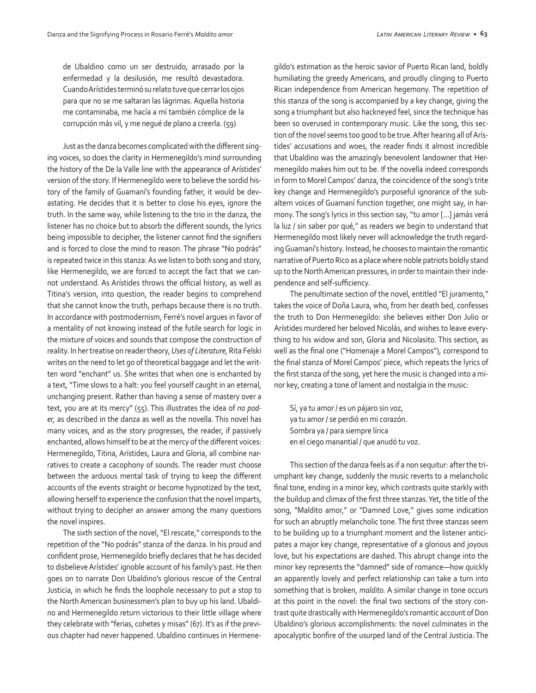de Ubaldino como un ser destruido, arrasado por la enfermedad y la desilusión, me resultó devastadora. Cuando Arístides terminó su relato tuve que cerrar los ojos para que no se me saltaran las lágrimas. Aquella historia me contaminaba, me hacía a mí también cómplice de la corrupción más vil, y me negué de plano a creerla. (59)

Just as the danza becomes complicated with the different singing voices, so does the clarity in Hermenegildo's mind surrounding the history of the De la Valle line with the appearance of Arístides' version of the story. If Hermenegildo were to believe the sordid history of the family of Guamaní's founding father, it would be devastating. He decides that it is better to close his eyes, ignore the truth. In the same way, while listening to the trio in the danza, the listener has no choice but to absorb the different sounds, the lyrics being impossible to decipher, the listener cannot find the signifiers and is forced to close the mind to reason. The phrase "No podrás" is repeated twice in this stanza: As we listen to both song and story, like Hermenegildo, we are forced to accept the fact that we cannot understand*.* As Arístides throws the official history, as well as Titina's version, into question, the reader begins to comprehend that she cannot know the truth, perhaps because there is no truth. In accordance with postmodernism, Ferré's novel argues in favor of a mentality of not knowing instead of the futile search for logic in the mixture of voices and sounds that compose the construction of reality. In her treatise on reader theory, *Uses of Literature,* Rita Felski writes on the need to let go of theoretical baggage and let the written word "enchant" us. She writes that when one is enchanted by a text, "Time slows to a halt: you feel yourself caught in an eternal, unchanging present. Rather than having a sense of mastery over a text, you are at its mercy" (55). This illustrates the idea of *no poder,* as described in the danza as well as the novella. This novel has many voices, and as the story progresses, the reader, if passively enchanted, allows himself to be at the mercy of the different voices: Hermenegildo, Titina, Arístides, Laura and Gloria, all combine narratives to create a cacophony of sounds. The reader must choose between the arduous mental task of trying to keep the different accounts of the events straight or become hypnotized by the text, allowing herself to experience the confusion that the novel imparts, without trying to decipher an answer among the many questions the novel inspires.

The sixth section of the novel, "El rescate," corresponds to the repetition of the "No podrás" stanza of the danza. In his proud and confident prose, Hermenegildo briefly declares that he has decided to disbelieve Arístides' ignoble account of his family's past. He then goes on to narrate Don Ubaldino's glorious rescue of the Central Justicia, in which he finds the loophole necessary to put a stop to the North American businessmen's plan to buy up his land. Ubaldino and Hermenegildo return victorious to their little village where they celebrate with "ferias, cohetes y misas" (67). It's as if the previous chapter had never happened. Ubaldino continues in Hermenegildo's estimation as the heroic savior of Puerto Rican land, boldly humiliating the greedy Americans, and proudly clinging to Puerto Rican independence from American hegemony. The repetition of this stanza of the song is accompanied by a key change, giving the song a triumphant but also hackneyed feel, since the technique has been so overused in contemporary music. Like the song, this section of the novel seems too good to be true. After hearing all of Arístides' accusations and woes, the reader finds it almost incredible that Ubaldino was the amazingly benevolent landowner that Hermenegildo makes him out to be. If the novella indeed corresponds in form to Morel Campos' danza, the coincidence of the song's trite key change and Hermenegildo's purposeful ignorance of the subaltern voices of Guamaní function together, one might say, in harmony. The song's lyrics in this section say, "tu amor […] jamás verá la luz / sin saber por qué," as readers we begin to understand that Hermenegildo most likely never will acknowledge the truth regarding Guamaní's history. Instead, he chooses to maintain the romantic narrative of Puerto Rico as a place where noble patriots boldly stand up to the North American pressures, in order to maintain their independence and self-sufficiency.

The penultimate section of the novel, entitled "El juramento," takes the voice of Doña Laura, who, from her death bed, confesses the truth to Don Hermenegildo: she believes either Don Julio or Arístides murdered her beloved Nicolás, and wishes to leave everything to his widow and son, Gloria and Nicolasito. This section, as well as the final one ("Homenaje a Morel Campos"), correspond to the final stanza of Morel Campos' piece, which repeats the lyrics of the first stanza of the song, yet here the music is changed into a minor key, creating a tone of lament and nostalgia in the music:

Sí, ya tu amor / es un pájaro sin voz, ya tu amor / se perdió en mi corazón. Sombra ya / para siempre lírica en el ciego manantial / que anudó tu voz.

This section of the danza feels as if a non sequitur: after the triumphant key change, suddenly the music reverts to a melancholic final tone, ending in a minor key, which contrasts quite starkly with the buildup and climax of the first three stanzas. Yet, the title of the song, "Maldito amor," or "Damned Love," gives some indication for such an abruptly melancholic tone. The first three stanzas seem to be building up to a triumphant moment and the listener anticipates a major key change, representative of a glorious and joyous love, but his expectations are dashed. This abrupt change into the minor key represents the "damned" side of romance—how quickly an apparently lovely and perfect relationship can take a turn into something that is broken, *maldito.* A similar change in tone occurs at this point in the novel: the final two sections of the story contrast quite drastically with Hermenegildo's romantic account of Don Ubaldino's glorious accomplishments: the novel culminates in the apocalyptic bonfire of the usurped land of the Central Justicia. The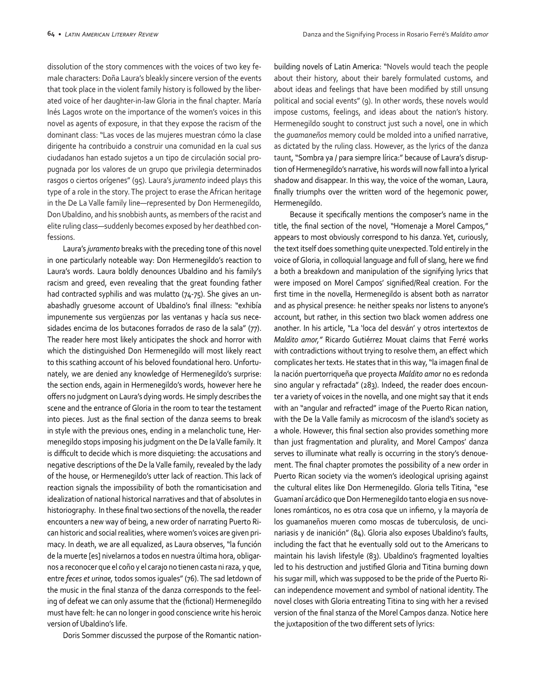dissolution of the story commences with the voices of two key female characters: Doña Laura's bleakly sincere version of the events that took place in the violent family history is followed by the liberated voice of her daughter-in-law Gloria in the final chapter. María Inés Lagos wrote on the importance of the women's voices in this novel as agents of exposure, in that they expose the racism of the dominant class: "Las voces de las mujeres muestran cómo la clase dirigente ha contribuido a construir una comunidad en la cual sus ciudadanos han estado sujetos a un tipo de circulación social propugnada por los valores de un grupo que privilegia determinados rasgos o ciertos orígenes" (95). Laura's *juramento* indeed plays this type of a role in the story. The project to erase the African heritage in the De La Valle family line—represented by Don Hermenegildo, Don Ubaldino, and his snobbish aunts, as members of the racist and elite ruling class—suddenly becomes exposed by her deathbed confessions.

Laura's *juramento* breaks with the preceding tone of this novel in one particularly noteable way: Don Hermenegildo's reaction to Laura's words. Laura boldly denounces Ubaldino and his family's racism and greed, even revealing that the great founding father had contracted syphilis and was mulatto (74-75). She gives an unabashadly gruesome account of Ubaldino's final illness: "exhibía impunemente sus vergüenzas por las ventanas y hacía sus necesidades encima de los butacones forrados de raso de la sala" (77). The reader here most likely anticipates the shock and horror with which the distinguished Don Hermenegildo will most likely react to this scathing account of his beloved foundational hero. Unfortunately, we are denied any knowledge of Hermenegildo's surprise: the section ends, again in Hermenegildo's words, however here he offers no judgment on Laura's dying words. He simply describes the scene and the entrance of Gloria in the room to tear the testament into pieces. Just as the final section of the danza seems to break in style with the previous ones, ending in a melancholic tune, Hermenegildo stops imposing his judgment on the De la Valle family. It is difficult to decide which is more disquieting: the accusations and negative descriptions of the De la Valle family, revealed by the lady of the house, or Hermenegildo's utter lack of reaction. This lack of reaction signals the impossibility of both the romanticisation and idealization of national historical narratives and that of absolutes in historiography. In these final two sections of the novella, the reader encounters a new way of being, a new order of narrating Puerto Rican historic and social realities, where women's voices are given primacy. In death, we are all equalized, as Laura observes, "la función de la muerte [es] nivelarnos a todos en nuestra última hora, obligarnos a reconocer que el coño y el carajo no tienen casta ni raza, y que, entre *feces et urinae,* todos somos iguales" (76). The sad letdown of the music in the final stanza of the danza corresponds to the feeling of defeat we can only assume that the (fictional) Hermenegildo must have felt: he can no longer in good conscience write his heroic version of Ubaldino's life.

Doris Sommer discussed the purpose of the Romantic nation-

building novels of Latin America: "Novels would teach the people about their history, about their barely formulated customs, and about ideas and feelings that have been modified by still unsung political and social events" (9). In other words, these novels would impose customs, feelings, and ideas about the nation's history. Hermenegildo sought to construct just such a novel, one in which the *guamaneños* memory could be molded into a unified narrative, as dictated by the ruling class. However, as the lyrics of the danza taunt, "Sombra ya / para siempre lírica:" because of Laura's disruption of Hermenegildo's narrative, his words will now fall into a lyrical shadow and disappear. In this way, the voice of the woman, Laura, finally triumphs over the written word of the hegemonic power, Hermenegildo.

Because it specifically mentions the composer's name in the title, the final section of the novel, "Homenaje a Morel Campos," appears to most obviously correspond to his danza. Yet, curiously, the text itself does something quite unexpected. Told entirely in the voice of Gloria, in colloquial language and full of slang, here we find a both a breakdown and manipulation of the signifying lyrics that were imposed on Morel Campos' signified/Real creation. For the first time in the novella, Hermenegildo is absent both as narrator and as physical presence: he neither speaks nor listens to anyone's account, but rather, in this section two black women address one another. In his article, "La 'loca del desván' y otros intertextos de *Maldito amor,"* Ricardo Gutiérrez Mouat claims that Ferré works with contradictions without trying to resolve them, an effect which complicates her texts. He states that in this way, "la imagen final de la nación puertorriqueña que proyecta *Maldito amor* no es redonda sino angular y refractada" (283). Indeed, the reader does encounter a variety of voices in the novella, and one might say that it ends with an "angular and refracted" image of the Puerto Rican nation, with the De la Valle family as microcosm of the island's society as a whole. However, this final section also provides something more than just fragmentation and plurality, and Morel Campos' danza serves to illuminate what really is occurring in the story's denouement. The final chapter promotes the possibility of a new order in Puerto Rican society via the women's ideological uprising against the cultural elites like Don Hermenegildo. Gloria tells Titina, "ese Guamaní arcádico que Don Hermenegildo tanto elogia en sus novelones románticos, no es otra cosa que un infierno, y la mayoría de los guamaneños mueren como moscas de tuberculosis, de uncinariasis y de inanición" (84). Gloria also exposes Ubaldino's faults, including the fact that he eventually sold out to the Americans to maintain his lavish lifestyle (83). Ubaldino's fragmented loyalties led to his destruction and justified Gloria and Titina burning down his sugar mill, which was supposed to be the pride of the Puerto Rican independence movement and symbol of national identity. The novel closes with Gloria entreating Titina to sing with her a revised version of the final stanza of the Morel Campos danza. Notice here the juxtaposition of the two different sets of lyrics: